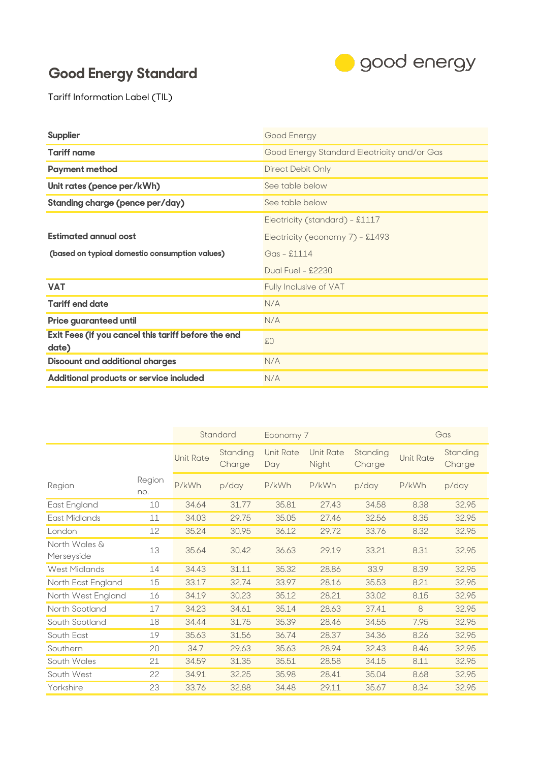## **Good Energy Standard**



Tariff Information Label (TIL)

| <b>Supplier</b>                                              | Good Energy                                 |  |  |  |
|--------------------------------------------------------------|---------------------------------------------|--|--|--|
| <b>Tariff name</b>                                           | Good Energy Standard Electricity and/or Gas |  |  |  |
| <b>Payment method</b>                                        | Direct Debit Only                           |  |  |  |
| Unit rates (pence per/kWh)                                   | See table below                             |  |  |  |
| <b>Standing charge (pence per/day)</b>                       | See table below                             |  |  |  |
|                                                              | Electricity (standard) - £1117              |  |  |  |
| <b>Estimated annual cost</b>                                 | Electricity (economy 7) - £1493             |  |  |  |
| (based on typical domestic consumption values)               | $Gas - $1114$                               |  |  |  |
|                                                              | Dual Fuel - £2230                           |  |  |  |
| <b>VAT</b>                                                   | Fully Inclusive of VAT                      |  |  |  |
| <b>Tariff end date</b>                                       | N/A                                         |  |  |  |
| <b>Price guaranteed until</b>                                | N/A                                         |  |  |  |
| Exit Fees (if you cancel this tariff before the end<br>date) | \$0\$                                       |  |  |  |
| <b>Discount and additional charges</b>                       | N/A                                         |  |  |  |
| Additional products or service included                      | N/A                                         |  |  |  |

|                             |               |                  | Standard           | Economy 7               |                           |                    | Gas              |                    |
|-----------------------------|---------------|------------------|--------------------|-------------------------|---------------------------|--------------------|------------------|--------------------|
|                             |               | <b>Unit Rate</b> | Standing<br>Charge | <b>Unit Rate</b><br>Day | <b>Unit Rate</b><br>Night | Standing<br>Charge | <b>Unit Rate</b> | Standing<br>Charge |
| Region                      | Region<br>no. | P/kWh            | p/day              | P/kWh                   | P/kWh                     | p/day              | P/kWh            | p/day              |
| East England                | 10            | 34.64            | 31.77              | 35.81                   | 27.43                     | 34.58              | 8.38             | 32.95              |
| East Midlands               | 11            | 34.03            | 29.75              | 35.05                   | 27.46                     | 32.56              | 8.35             | 32.95              |
| London                      | 12            | 35.24            | 30.95              | 36.12                   | 29.72                     | 33.76              | 8.32             | 32.95              |
| North Wales &<br>Merseyside | 13            | 35.64            | 30.42              | 36.63                   | 29.19                     | 33.21              | 8.31             | 32.95              |
| <b>West Midlands</b>        | 14            | 34.43            | 31.11              | 35.32                   | 28.86                     | 33.9               | 8.39             | 32.95              |
| North East England          | 15            | 33.17            | 32.74              | 33.97                   | 28.16                     | 35.53              | 8.21             | 32.95              |
| North West England          | 16            | 34.19            | 30.23              | 35.12                   | 28.21                     | 33.02              | 8.15             | 32.95              |
| North Scotland              | 17            | 34.23            | 34.61              | 35.14                   | 28.63                     | 37.41              | 8                | 32.95              |
| South Scotland              | 18            | 34.44            | 31.75              | 35.39                   | 28.46                     | 34.55              | 7.95             | 32.95              |
| South East                  | 19            | 35.63            | 31.56              | 36.74                   | 28.37                     | 34.36              | 8.26             | 32.95              |
| Southern                    | 20            | 34.7             | 29.63              | 35.63                   | 28.94                     | 32.43              | 8.46             | 32.95              |
| South Wales                 | 21            | 34.59            | 31.35              | 35.51                   | 28.58                     | 34.15              | 8.11             | 32.95              |
| South West                  | 22            | 34.91            | 32.25              | 35.98                   | 28.41                     | 35.04              | 8.68             | 32.95              |
| Yorkshire                   | 23            | 33.76            | 32.88              | 34.48                   | 29.11                     | 35.67              | 8.34             | 32.95              |